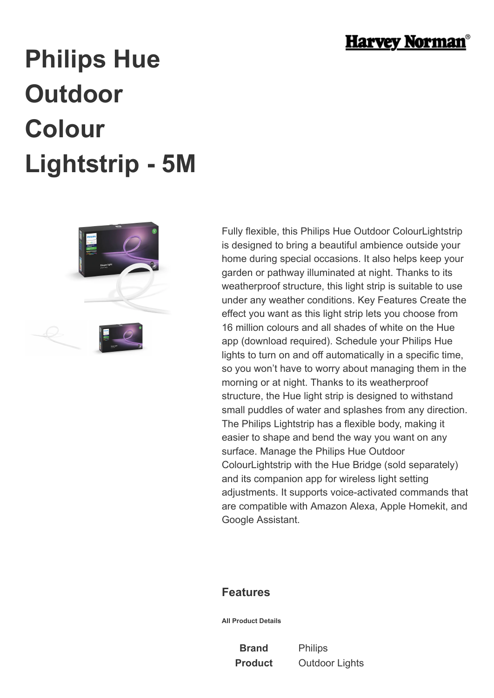

## **Philips Hue Outdoor Colour Lightstrip - 5M**



Fully flexible, this Philips Hue Outdoor ColourLightstrip is designed to bring a beautiful ambience outside your home during special occasions. It also helps keep your garden or pathway illuminated at night. Thanks to its weatherproof structure, this light strip is suitable to use under any weather conditions. Key Features Create the effect you want as this light strip lets you choose from 16 million colours and all shades of white on the Hue app (download required). Schedule your Philips Hue lights to turn on and off automatically in a specific time, so you won't have to worry about managing them in the morning or at night. Thanks to its weatherproof structure, the Hue light strip is designed to withstand small puddles of water and splashes from any direction. The Philips Lightstrip has a flexible body, making it easier to shape and bend the way you want on any surface. Manage the Philips Hue Outdoor ColourLightstrip with the Hue Bridge (sold separately) and its companion app for wireless light setting adjustments. It supports voice-activated commands that are compatible with Amazon Alexa, Apple Homekit, and Google Assistant.

## **Features**

**All Product Details**

**Brand** Philips

**Product** Outdoor Lights